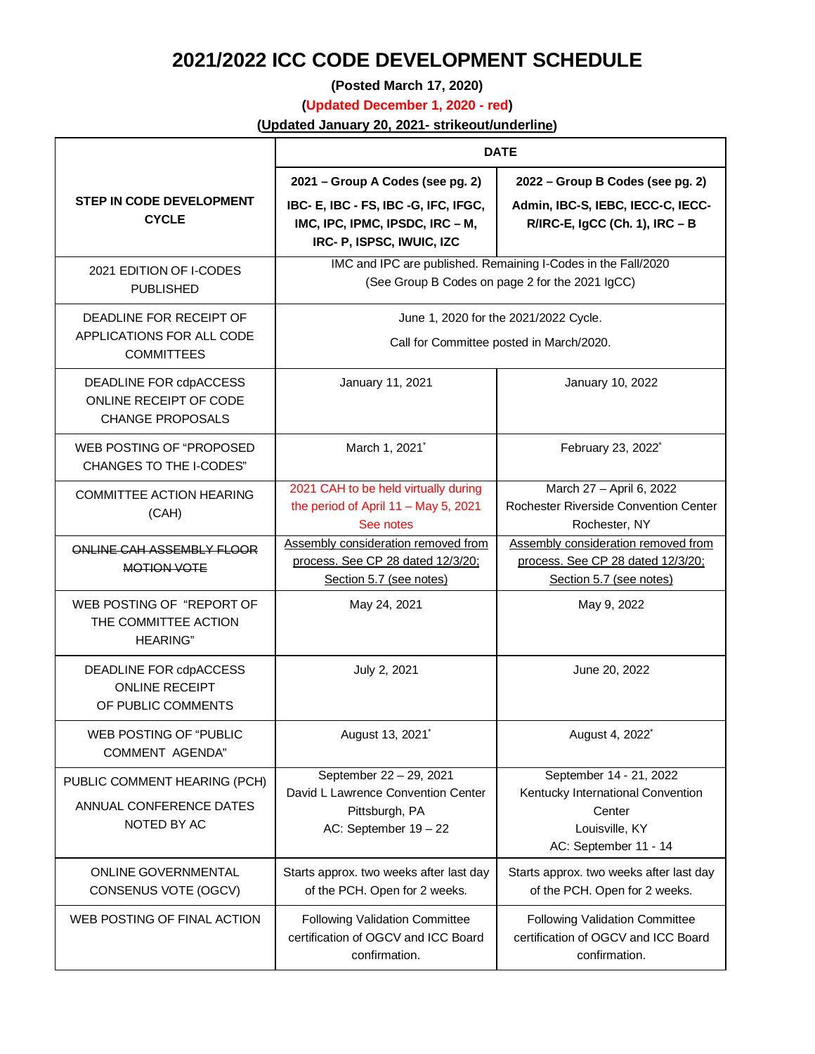## **2021/2022 ICC CODE DEVELOPMENT SCHEDULE**

**(Posted March 17, 2020)**

**(Updated December 1, 2020 - red)**

**(Updated January 20, 2021- strikeout/underline)**

|                                                                             | <b>DATE</b>                                                                                                      |                                                                                                                   |
|-----------------------------------------------------------------------------|------------------------------------------------------------------------------------------------------------------|-------------------------------------------------------------------------------------------------------------------|
|                                                                             | 2021 - Group A Codes (see pg. 2)                                                                                 | 2022 - Group B Codes (see pg. 2)                                                                                  |
| <b>STEP IN CODE DEVELOPMENT</b><br><b>CYCLE</b>                             | IBC- E, IBC - FS, IBC -G, IFC, IFGC,<br>IMC, IPC, IPMC, IPSDC, IRC - M,<br>IRC- P, ISPSC, IWUIC, IZC             | Admin, IBC-S, IEBC, IECC-C, IECC-<br>R/IRC-E, IgCC (Ch. 1), IRC - B                                               |
| 2021 EDITION OF I-CODES<br><b>PUBLISHED</b>                                 | IMC and IPC are published. Remaining I-Codes in the Fall/2020<br>(See Group B Codes on page 2 for the 2021 IgCC) |                                                                                                                   |
| DEADLINE FOR RECEIPT OF<br>APPLICATIONS FOR ALL CODE<br><b>COMMITTEES</b>   | June 1, 2020 for the 2021/2022 Cycle.<br>Call for Committee posted in March/2020.                                |                                                                                                                   |
| DEADLINE FOR cdpACCESS<br>ONLINE RECEIPT OF CODE<br><b>CHANGE PROPOSALS</b> | January 11, 2021                                                                                                 | January 10, 2022                                                                                                  |
| WEB POSTING OF "PROPOSED<br>CHANGES TO THE I-CODES"                         | March 1, 2021 <sup>*</sup>                                                                                       | February 23, 2022 <sup>*</sup>                                                                                    |
| <b>COMMITTEE ACTION HEARING</b><br>(CAH)                                    | 2021 CAH to be held virtually during<br>the period of April $11 - May 5$ , 2021<br>See notes                     | March 27 - April 6, 2022<br>Rochester Riverside Convention Center<br>Rochester, NY                                |
| ONLINE CAH ASSEMBLY FLOOR<br>MOTION VOTE                                    | Assembly consideration removed from<br>process. See CP 28 dated 12/3/20;<br>Section 5.7 (see notes)              | Assembly consideration removed from<br>process. See CP 28 dated 12/3/20;<br>Section 5.7 (see notes)               |
| WEB POSTING OF "REPORT OF<br>THE COMMITTEE ACTION<br><b>HEARING"</b>        | May 24, 2021                                                                                                     | May 9, 2022                                                                                                       |
| DEADLINE FOR cdpACCESS<br><b>ONLINE RECEIPT</b><br>OF PUBLIC COMMENTS       | July 2, 2021                                                                                                     | June 20, 2022                                                                                                     |
| WEB POSTING OF "PUBLIC<br><b>COMMENT AGENDA"</b>                            | August 13, 2021 <sup>*</sup>                                                                                     | August 4, 2022 <sup>*</sup>                                                                                       |
| PUBLIC COMMENT HEARING (PCH)<br>ANNUAL CONFERENCE DATES<br>NOTED BY AC      | September 22 - 29, 2021<br>David L Lawrence Convention Center<br>Pittsburgh, PA<br>AC: September $19 - 22$       | September 14 - 21, 2022<br>Kentucky International Convention<br>Center<br>Louisville, KY<br>AC: September 11 - 14 |
| <b>ONLINE GOVERNMENTAL</b><br>CONSENUS VOTE (OGCV)                          | Starts approx. two weeks after last day<br>of the PCH. Open for 2 weeks.                                         | Starts approx. two weeks after last day<br>of the PCH. Open for 2 weeks.                                          |
| WEB POSTING OF FINAL ACTION                                                 | <b>Following Validation Committee</b><br>certification of OGCV and ICC Board<br>confirmation.                    | <b>Following Validation Committee</b><br>certification of OGCV and ICC Board<br>confirmation.                     |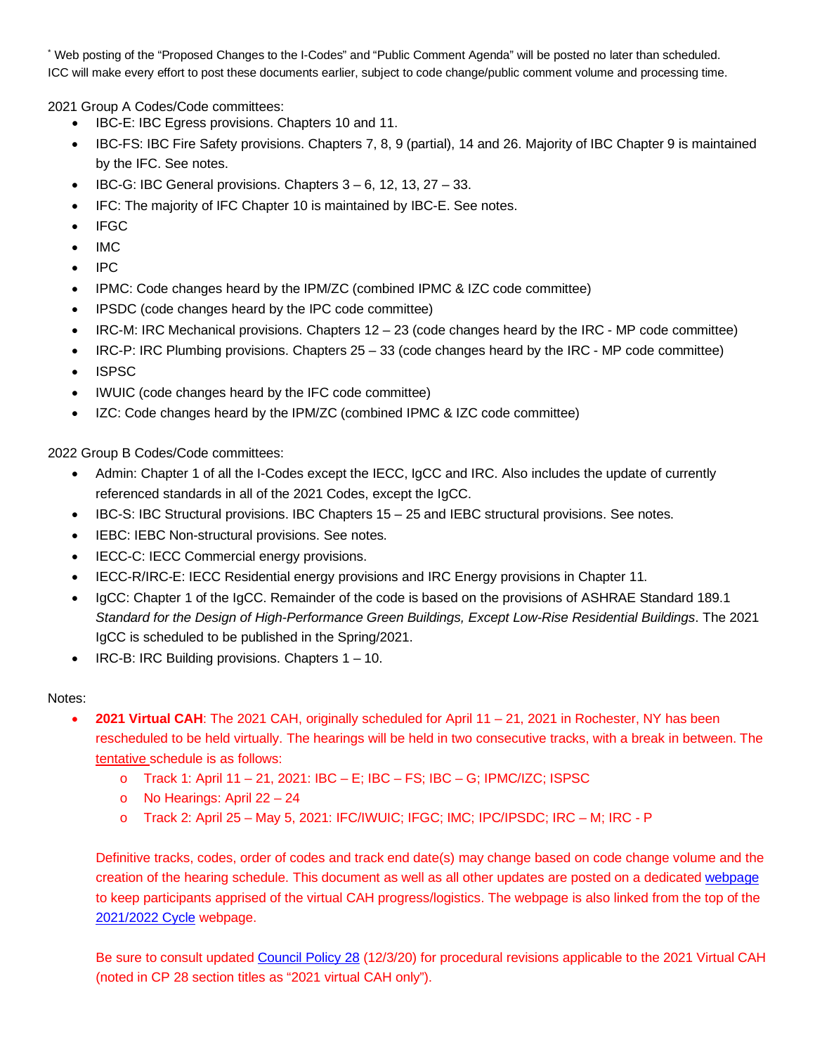\* Web posting of the "Proposed Changes to the I-Codes" and "Public Comment Agenda" will be posted no later than scheduled. ICC will make every effort to post these documents earlier, subject to code change/public comment volume and processing time.

2021 Group A Codes/Code committees:

- IBC-E: IBC Egress provisions. Chapters 10 and 11.
- IBC-FS: IBC Fire Safety provisions. Chapters 7, 8, 9 (partial), 14 and 26. Majority of IBC Chapter 9 is maintained by the IFC. See notes.
- IBC-G: IBC General provisions. Chapters 3 6, 12, 13, 27 33.
- IFC: The majority of IFC Chapter 10 is maintained by IBC-E. See notes.
- IFGC
- IMC
- IPC
- IPMC: Code changes heard by the IPM/ZC (combined IPMC & IZC code committee)
- IPSDC (code changes heard by the IPC code committee)
- IRC-M: IRC Mechanical provisions. Chapters  $12 23$  (code changes heard by the IRC MP code committee)
- IRC-P: IRC Plumbing provisions. Chapters 25 33 (code changes heard by the IRC MP code committee)
- ISPSC
- IWUIC (code changes heard by the IFC code committee)
- IZC: Code changes heard by the IPM/ZC (combined IPMC & IZC code committee)

2022 Group B Codes/Code committees:

- Admin: Chapter 1 of all the I-Codes except the IECC, IgCC and IRC. Also includes the update of currently referenced standards in all of the 2021 Codes, except the IgCC.
- IBC-S: IBC Structural provisions. IBC Chapters 15 25 and IEBC structural provisions. See notes.
- IEBC: IEBC Non-structural provisions. See notes.
- IECC-C: IECC Commercial energy provisions.
- IECC-R/IRC-E: IECC Residential energy provisions and IRC Energy provisions in Chapter 11.
- IgCC: Chapter 1 of the IgCC. Remainder of the code is based on the provisions of ASHRAE Standard 189.1 *Standard for the Design of High-Performance Green Buildings, Except Low-Rise Residential Buildings*. The 2021 IgCC is scheduled to be published in the Spring/2021.
- IRC-B: IRC Building provisions. Chapters 1 10.

## Notes:

- **2021 Virtual CAH**: The 2021 CAH, originally scheduled for April 11 21, 2021 in Rochester, NY has been rescheduled to be held virtually. The hearings will be held in two consecutive tracks, with a break in between. The tentative schedule is as follows:
	- o Track 1: April 11 21, 2021: IBC E; IBC FS; IBC G; IPMC/IZC; ISPSC
	- o No Hearings: April 22 24
	- o Track 2: April 25 May 5, 2021: IFC/IWUIC; IFGC; IMC; IPC/IPSDC; IRC M; IRC P

Definitive tracks, codes, order of codes and track end date(s) may change based on code change volume and the creation of the hearing schedule. This document as well as all other updates are posted on a dedicated [webpage](https://www.iccsafe.org/products-and-services/i-codes/code-development/2021-2022-virtual-committee-action-hearing/) to keep participants apprised of the virtual CAH progress/logistics. The webpage is also linked from the top of the [2021/2022 Cycle](https://www.iccsafe.org/products-and-services/i-codes/code-development/2021-2022-code-development-cycle/) webpage.

Be sure to consult update[d Council Policy 28](https://www.iccsafe.org/wp-content/uploads/CP28-05.pdf) (12/3/20) for procedural revisions applicable to the 2021 Virtual CAH (noted in CP 28 section titles as "2021 virtual CAH only").